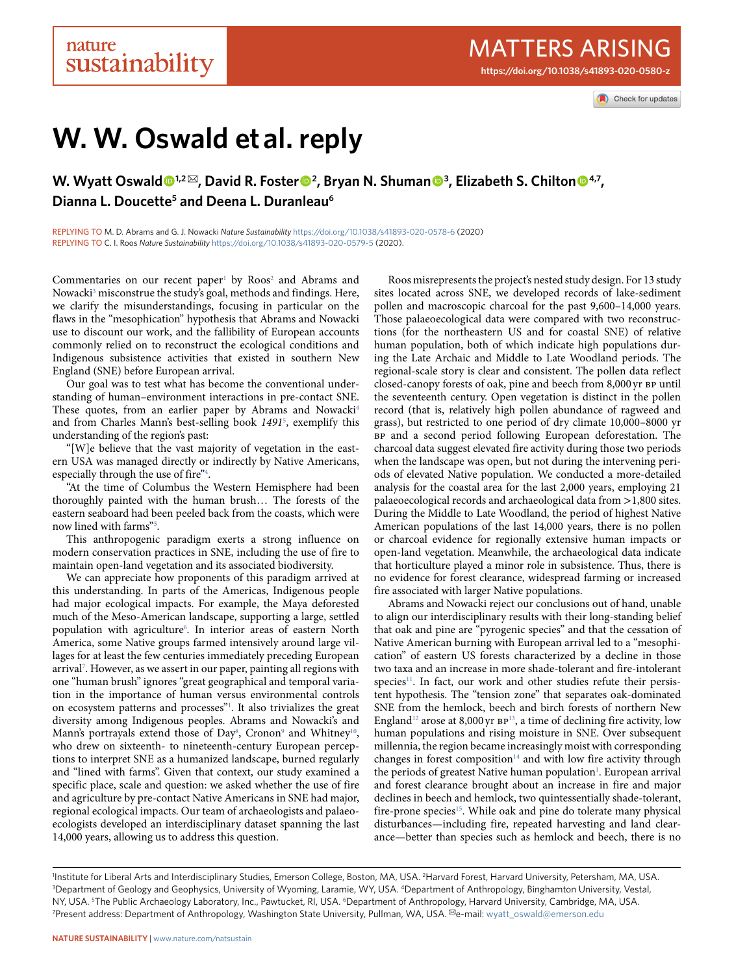Check for updates

# **W. W. Oswald et al. reply**

**W. Wyatt Oswald**<sup>1,2⊠</sup>, David R. Foster<sup>●2</sup>, Bryan N. Shuman●<sup>3</sup>, Elizabeth S. Chilton●<sup>4,7</sup>, **Dianna L. Doucette5 and Deena L. Duranleau6**

replying to M. D. Abrams and G. J. Nowacki *Nature Sustainability* <https://doi.org/10.1038/s41893-020-0578-6> (2020) replying to C. I. Roos *Nature Sustainability* <https://doi.org/10.1038/s41893-020-0579-5> (2020).

Commentaries on our recent paper<sup>1</sup> by  $Roos<sup>2</sup>$  $Roos<sup>2</sup>$  $Roos<sup>2</sup>$  and Abrams and Nowacki<sup>3</sup> misconstrue the study's goal, methods and findings. Here, we clarify the misunderstandings, focusing in particular on the flaws in the "mesophication" hypothesis that Abrams and Nowacki use to discount our work, and the fallibility of European accounts commonly relied on to reconstruct the ecological conditions and Indigenous subsistence activities that existed in southern New England (SNE) before European arrival.

Our goal was to test what has become the conventional understanding of human–environment interactions in pre-contact SNE. These quotes, from an earlier paper by Abrams and Nowacki<sup>[4](#page-2-3)</sup> and from Charles Mann's best-selling book *1491*[5](#page-2-4) , exemplify this understanding of the region's past:

"[W]e believe that the vast majority of vegetation in the eastern USA was managed directly or indirectly by Native Americans, especially through the use of fire"<sup>4</sup>.

"At the time of Columbus the Western Hemisphere had been thoroughly painted with the human brush… The forests of the eastern seaboard had been peeled back from the coasts, which were now lined with farms"<sup>[5](#page-2-4)</sup>.

This anthropogenic paradigm exerts a strong influence on modern conservation practices in SNE, including the use of fire to maintain open-land vegetation and its associated biodiversity.

We can appreciate how proponents of this paradigm arrived at this understanding. In parts of the Americas, Indigenous people had major ecological impacts. For example, the Maya deforested much of the Meso-American landscape, supporting a large, settled population with agriculture<sup>6</sup>. In interior areas of eastern North America, some Native groups farmed intensively around large villages for at least the few centuries immediately preceding European arrival[7](#page-2-6) . However, as we assert in our paper, painting all regions with one "human brush" ignores "great geographical and temporal variation in the importance of human versus environmental controls on ecosystem patterns and processes"<sup>1</sup>. It also trivializes the great diversity among Indigenous peoples. Abrams and Nowacki's and Mann's portrayals extend those of Day<sup>8</sup>, Cronon<sup>9</sup> and Whitney<sup>10</sup>, who drew on sixteenth- to nineteenth-century European perceptions to interpret SNE as a humanized landscape, burned regularly and "lined with farms". Given that context, our study examined a specific place, scale and question: we asked whether the use of fire and agriculture by pre-contact Native Americans in SNE had major, regional ecological impacts. Our team of archaeologists and palaeoecologists developed an interdisciplinary dataset spanning the last 14,000 years, allowing us to address this question.

Roos misrepresents the project's nested study design. For 13 study sites located across SNE, we developed records of lake-sediment pollen and macroscopic charcoal for the past 9,600–14,000 years. Those palaeoecological data were compared with two reconstructions (for the northeastern US and for coastal SNE) of relative human population, both of which indicate high populations during the Late Archaic and Middle to Late Woodland periods. The regional-scale story is clear and consistent. The pollen data reflect closed-canopy forests of oak, pine and beech from 8,000 yr bp until the seventeenth century. Open vegetation is distinct in the pollen record (that is, relatively high pollen abundance of ragweed and grass), but restricted to one period of dry climate 10,000–8000 yr BP and a second period following European deforestation. The charcoal data suggest elevated fire activity during those two periods when the landscape was open, but not during the intervening periods of elevated Native population. We conducted a more-detailed analysis for the coastal area for the last 2,000 years, employing 21 palaeoecological records and archaeological data from >1,800 sites. During the Middle to Late Woodland, the period of highest Native American populations of the last 14,000 years, there is no pollen or charcoal evidence for regionally extensive human impacts or open-land vegetation. Meanwhile, the archaeological data indicate that horticulture played a minor role in subsistence. Thus, there is no evidence for forest clearance, widespread farming or increased fire associated with larger Native populations.

Abrams and Nowacki reject our conclusions out of hand, unable to align our interdisciplinary results with their long-standing belief that oak and pine are "pyrogenic species" and that the cessation of Native American burning with European arrival led to a "mesophication" of eastern US forests characterized by a decline in those two taxa and an increase in more shade-tolerant and fire-intolerant species<sup>11</sup>. In fact, our work and other studies refute their persistent hypothesis. The "tension zone" that separates oak-dominated SNE from the hemlock, beech and birch forests of northern New England<sup>12</sup> arose at 8,000 yr  $\texttt{BP}^{13}$  $\texttt{BP}^{13}$  $\texttt{BP}^{13}$  , a time of declining fire activity, low human populations and rising moisture in SNE. Over subsequent millennia, the region became increasingly moist with corresponding changes in forest composition<sup>14</sup> and with low fire activity through the periods of greatest Native human population<sup>1</sup>. European arrival and forest clearance brought about an increase in fire and major declines in beech and hemlock, two quintessentially shade-tolerant, fire-prone species<sup>[15](#page-2-14)</sup>. While oak and pine do tolerate many physical disturbances—including fire, repeated harvesting and land clearance—better than species such as hemlock and beech, there is no

<sup>1</sup>Institute for Liberal Arts and Interdisciplinary Studies, Emerson College, Boston, MA, USA. <sup>2</sup>Harvard Forest, Harvard University, Petersham, MA, USA.<br><sup>3</sup>Denartment of Geology and Geophysics University of Wyoming Tarami <sup>3</sup>Department of Geology and Geophysics, University of Wyoming, Laramie, WY, USA. <sup>4</sup>Department of Anthropology, Binghamton University, Vestal, NY, USA. <sup>5</sup>The Public Archaeology Laboratory, Inc., Pawtucket, RI, USA. <sup>6</sup>Department of Anthropology, Harvard University, Cambridge, MA, USA.<br><sup>7</sup>Present address: Department of Anthropology, Washington State University, P <sup>7</sup> Present address: Department of Anthropology, Washington State University, Pullman, WA, USA. <sup>⊠</sup>e-mail: [wyatt\\_oswald@emerson.edu](mailto:wyatt_oswald@emerson.edu)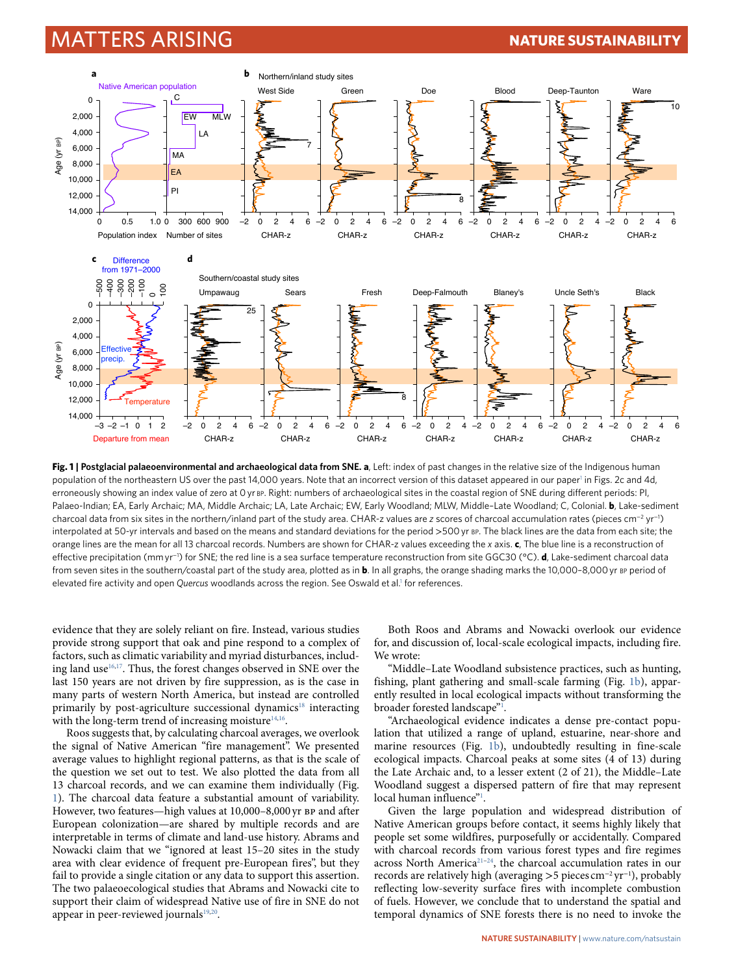### Matters Arising **Nature Sustainability**



<span id="page-1-0"></span>**Fig. 1 | Postglacial palaeoenvironmental and archaeological data from SNE. a**, Left: index of past changes in the relative size of the Indigenous human population of the northeastern US over the past [1](#page-2-0)4,000 years. Note that an incorrect version of this dataset appeared in our paper<sup>1</sup> in Figs. 2c and 4d, erroneously showing an index value of zero at 0 yr BP. Right: numbers of archaeological sites in the coastal region of SNE during different periods: PI, Palaeo-Indian; EA, Early Archaic; MA, Middle Archaic; LA, Late Archaic; EW, Early Woodland; MLW, Middle–Late Woodland; C, Colonial. **b**, Lake-sediment charcoal data from six sites in the northern/inland part of the study area. CHAR-z values are *z* scores of charcoal accumulation rates (pieces cm<sup>−2</sup> yr<sup>−1</sup>) interpolated at 50-yr intervals and based on the means and standard deviations for the period >500 yr bp. The black lines are the data from each site; the orange lines are the mean for all 13 charcoal records. Numbers are shown for CHAR-z values exceeding the *x* axis. **c**, The blue line is a reconstruction of effective precipitation (mm yr−<sup>1</sup> ) for SNE; the red line is a sea surface temperature reconstruction from site GGC30 (°C). **d**, Lake-sediment charcoal data from seven sites in the southern/coastal part of the study area, plotted as in **b**. In all graphs, the orange shading marks the 10,000-8,000 yr Bp period of elevated fire activity and open *Quercus* woodlands across the region. See Oswald et al[.1](#page-2-0) for references.

evidence that they are solely reliant on fire. Instead, various studies provide strong support that oak and pine respond to a complex of factors, such as climatic variability and myriad disturbances, including land use  $16,17$  $16,17$ . Thus, the forest changes observed in SNE over the last 150 years are not driven by fire suppression, as is the case in many parts of western North America, but instead are controlled primarily by post-agriculture successional dynamics<sup>18</sup> interacting with the long-term trend of increasing moisture $14,16$  $14,16$ .

Roos suggests that, by calculating charcoal averages, we overlook the signal of Native American "fire management". We presented average values to highlight regional patterns, as that is the scale of the question we set out to test. We also plotted the data from all 13 charcoal records, and we can examine them individually (Fig. [1\)](#page-1-0). The charcoal data feature a substantial amount of variability. However, two features—high values at 10,000–8,000 yr bp and after European colonization—are shared by multiple records and are interpretable in terms of climate and land-use history. Abrams and Nowacki claim that we "ignored at least 15–20 sites in the study area with clear evidence of frequent pre-European fires", but they fail to provide a single citation or any data to support this assertion. The two palaeoecological studies that Abrams and Nowacki cite to support their claim of widespread Native use of fire in SNE do not appear in peer-reviewed journals<sup>[19](#page-2-18)[,20](#page-2-19)</sup>.

Both Roos and Abrams and Nowacki overlook our evidence for, and discussion of, local-scale ecological impacts, including fire. We wrote:

"Middle–Late Woodland subsistence practices, such as hunting, fishing, plant gathering and small-scale farming (Fig. [1b\)](#page-1-0), apparently resulted in local ecological impacts without transforming the broader forested landscape"<sup>1</sup>.

"Archaeological evidence indicates a dense pre-contact population that utilized a range of upland, estuarine, near-shore and marine resources (Fig. [1b\)](#page-1-0), undoubtedly resulting in fine-scale ecological impacts. Charcoal peaks at some sites (4 of 13) during the Late Archaic and, to a lesser extent (2 of 21), the Middle–Late Woodland suggest a dispersed pattern of fire that may represent local human influence"<sup>[1](#page-2-0)</sup>.

Given the large population and widespread distribution of Native American groups before contact, it seems highly likely that people set some wildfires, purposefully or accidentally. Compared with charcoal records from various forest types and fire regimes across North America<sup>21-24</sup>, the charcoal accumulation rates in our records are relatively high (averaging >5 pieces cm<sup>−</sup><sup>2</sup> yr<sup>−</sup><sup>1</sup> ), probably reflecting low-severity surface fires with incomplete combustion of fuels. However, we conclude that to understand the spatial and temporal dynamics of SNE forests there is no need to invoke the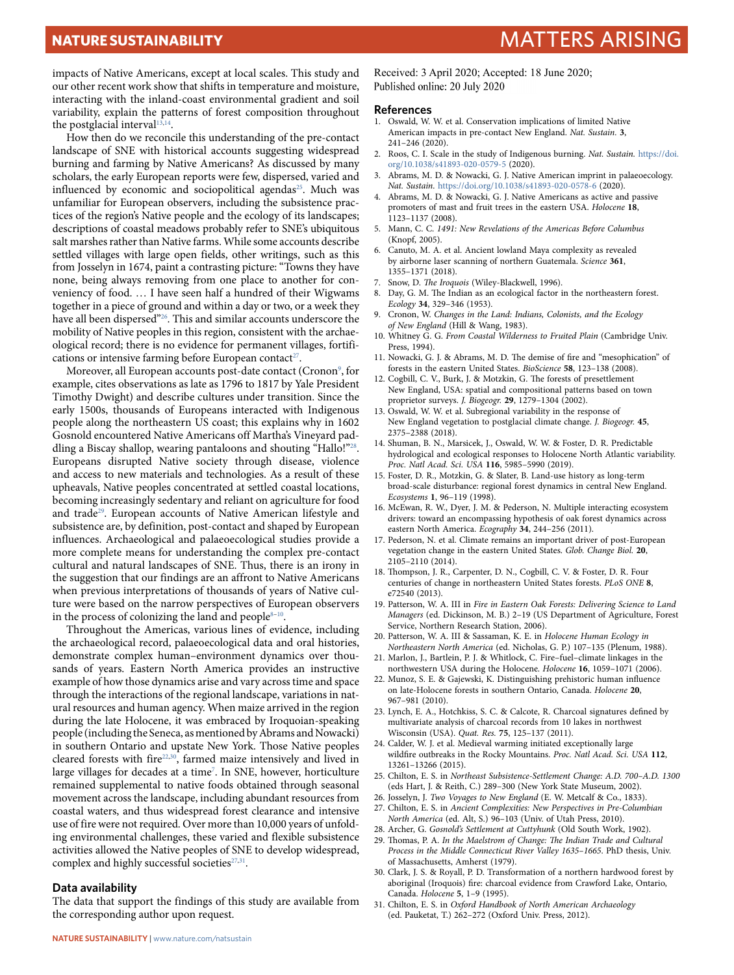impacts of Native Americans, except at local scales. This study and our other recent work show that shifts in temperature and moisture, interacting with the inland-coast environmental gradient and soil variability, explain the patterns of forest composition throughout the postglacial interval<sup>[13](#page-2-12),14</sup>.

How then do we reconcile this understanding of the pre-contact landscape of SNE with historical accounts suggesting widespread burning and farming by Native Americans? As discussed by many scholars, the early European reports were few, dispersed, varied and influenced by economic and sociopolitical agendas<sup>25</sup>. Much was unfamiliar for European observers, including the subsistence practices of the region's Native people and the ecology of its landscapes; descriptions of coastal meadows probably refer to SNE's ubiquitous salt marshes rather than Native farms. While some accounts describe settled villages with large open fields, other writings, such as this from Josselyn in 1674, paint a contrasting picture: "Towns they have none, being always removing from one place to another for conveniency of food. … I have seen half a hundred of their Wigwams together in a piece of ground and within a day or two, or a week they have all been dispersed"[26.](#page-2-23) This and similar accounts underscore the mobility of Native peoples in this region, consistent with the archaeological record; there is no evidence for permanent villages, fortifications or intensive farming before European contact<sup>27</sup>.

Moreover, all European accounts post-date contact (Cronon<sup>9</sup>, for example, cites observations as late as 1796 to 1817 by Yale President Timothy Dwight) and describe cultures under transition. Since the early 1500s, thousands of Europeans interacted with Indigenous people along the northeastern US coast; this explains why in 1602 Gosnold encountered Native Americans off Martha's Vineyard paddling a Biscay shallop, wearing pantaloons and shouting "Hallo!"<sup>28</sup>. Europeans disrupted Native society through disease, violence and access to new materials and technologies. As a result of these upheavals, Native peoples concentrated at settled coastal locations, becoming increasingly sedentary and reliant on agriculture for food and trade<sup>29</sup>. European accounts of Native American lifestyle and subsistence are, by definition, post-contact and shaped by European influences. Archaeological and palaeoecological studies provide a more complete means for understanding the complex pre-contact cultural and natural landscapes of SNE. Thus, there is an irony in the suggestion that our findings are an affront to Native Americans when previous interpretations of thousands of years of Native culture were based on the narrow perspectives of European observers in the process of colonizing the land and people $8-10$  $8-10$ .

Throughout the Americas, various lines of evidence, including the archaeological record, palaeoecological data and oral histories, demonstrate complex human–environment dynamics over thousands of years. Eastern North America provides an instructive example of how those dynamics arise and vary across time and space through the interactions of the regional landscape, variations in natural resources and human agency. When maize arrived in the region during the late Holocene, it was embraced by Iroquoian-speaking people (including the Seneca, as mentioned by Abrams and Nowacki) in southern Ontario and upstate New York. Those Native peoples cleared forests with fire<sup>[22,](#page-2-27)[30](#page-2-28)</sup>, farmed maize intensively and lived in large villages for decades at a time<sup>[7](#page-2-6)</sup>. In SNE, however, horticulture remained supplemental to native foods obtained through seasonal movement across the landscape, including abundant resources from coastal waters, and thus widespread forest clearance and intensive use of fire were not required. Over more than 10,000 years of unfolding environmental challenges, these varied and flexible subsistence activities allowed the Native peoples of SNE to develop widespread, complex and highly successful societies $27,31$  $27,31$ .

#### **Data availability**

The data that support the findings of this study are available from the corresponding author upon request.

Received: 3 April 2020; Accepted: 18 June 2020; Published online: 20 July 2020

#### **References**

- <span id="page-2-0"></span>1. Oswald, W. W. et al. Conservation implications of limited Native American impacts in pre-contact New England. *Nat. Sustain.* **3**, 241–246 (2020).
- <span id="page-2-1"></span>2. Roos, C. I. Scale in the study of Indigenous burning. *Nat. Sustain.* [https://doi.](https://doi.org/10.1038/s41893-020-0579-5) [org/10.1038/s41893-020-0579-5](https://doi.org/10.1038/s41893-020-0579-5) (2020).
- <span id="page-2-2"></span>3. Abrams, M. D. & Nowacki, G. J. Native American imprint in palaeoecology. *Nat. Sustain.* <https://doi.org/10.1038/s41893-020-0578-6> (2020).
- <span id="page-2-3"></span>4. Abrams, M. D. & Nowacki, G. J. Native Americans as active and passive promoters of mast and fruit trees in the eastern USA. *Holocene* **18**, 1123–1137 (2008).
- <span id="page-2-4"></span>5. Mann, C. C. *1491: New Revelations of the Americas Before Columbus* (Knopf, 2005).
- <span id="page-2-5"></span>6. Canuto, M. A. et al. Ancient lowland Maya complexity as revealed by airborne laser scanning of northern Guatemala. *Science* **361**, 1355–1371 (2018).
- <span id="page-2-6"></span>Snow, D. *The Iroquois* (Wiley-Blackwell, 1996).
- <span id="page-2-7"></span>8. Day, G. M. The Indian as an ecological factor in the northeastern forest. *Ecology* **34**, 329–346 (1953).
- <span id="page-2-8"></span>9. Cronon, W. *Changes in the Land: Indians, Colonists, and the Ecology of New England* (Hill & Wang, 1983).
- <span id="page-2-9"></span>10. Whitney G. G. *From Coastal Wilderness to Fruited Plain* (Cambridge Univ. Press, 1994).
- <span id="page-2-10"></span>11. Nowacki, G. J. & Abrams, M. D. The demise of fire and "mesophication" of forests in the eastern United States. *BioScience* **58**, 123–138 (2008).
- <span id="page-2-11"></span>12. Cogbill, C. V., Burk, J. & Motzkin, G. The forests of presettlement New England, USA: spatial and compositional patterns based on town proprietor surveys. *J. Biogeogr.* **29**, 1279–1304 (2002).
- <span id="page-2-12"></span>13. Oswald, W. W. et al. Subregional variability in the response of New England vegetation to postglacial climate change. *J. Biogeogr.* **45**, 2375–2388 (2018).
- <span id="page-2-13"></span>14. Shuman, B. N., Marsicek, J., Oswald, W. W. & Foster, D. R. Predictable hydrological and ecological responses to Holocene North Atlantic variability. *Proc. Natl Acad. Sci. USA* **116**, 5985–5990 (2019).
- <span id="page-2-14"></span>15. Foster, D. R., Motzkin, G. & Slater, B. Land-use history as long-term broad-scale disturbance: regional forest dynamics in central New England. *Ecosystems* **1**, 96–119 (1998).
- <span id="page-2-15"></span>16. McEwan, R. W., Dyer, J. M. & Pederson, N. Multiple interacting ecosystem drivers: toward an encompassing hypothesis of oak forest dynamics across eastern North America. *Ecography* **34**, 244–256 (2011).
- <span id="page-2-16"></span>17. Pederson, N. et al. Climate remains an important driver of post-European vegetation change in the eastern United States. *Glob. Change Biol.* **20**, 2105–2110 (2014).
- <span id="page-2-17"></span>18. Thompson, J. R., Carpenter, D. N., Cogbill, C. V. & Foster, D. R. Four centuries of change in northeastern United States forests. *PLoS ONE* **8**, e72540 (2013).
- <span id="page-2-18"></span>19. Patterson, W. A. III in *Fire in Eastern Oak Forests: Delivering Science to Land Managers* (ed. Dickinson, M. B.) 2–19 (US Department of Agriculture, Forest Service, Northern Research Station, 2006).
- <span id="page-2-19"></span>20. Patterson, W. A. III & Sassaman, K. E. in *Holocene Human Ecology in Northeastern North America* (ed. Nicholas, G. P.) 107–135 (Plenum, 1988).
- <span id="page-2-20"></span>21. Marlon, J., Bartlein, P. J. & Whitlock, C. Fire–fuel–climate linkages in the northwestern USA during the Holocene. *Holocene* **16**, 1059–1071 (2006).
- <span id="page-2-27"></span>22. Munoz, S. E. & Gajewski, K. Distinguishing prehistoric human infuence on late-Holocene forests in southern Ontario, Canada. *Holocene* **20**, 967–981 (2010).
- 23. Lynch, E. A., Hotchkiss, S. C. & Calcote, R. Charcoal signatures defned by multivariate analysis of charcoal records from 10 lakes in northwest Wisconsin (USA). *Quat. Res.* **75**, 125–137 (2011).
- <span id="page-2-21"></span>24. Calder, W. J. et al. Medieval warming initiated exceptionally large wildfre outbreaks in the Rocky Mountains. *Proc. Natl Acad. Sci. USA* **112**, 13261–13266 (2015).
- <span id="page-2-22"></span>25. Chilton, E. S. in *Northeast Subsistence-Settlement Change: A.D. 700–A.D. 1300* (eds Hart, J. & Reith, C.) 289–300 (New York State Museum, 2002).
- <span id="page-2-23"></span>26. Josselyn, J. *Two Voyages to New England* (E. W. Metcalf & Co., 1833).
- <span id="page-2-24"></span>27. Chilton, E. S. in *Ancient Complexities: New Perspectives in Pre-Columbian North America* (ed. Alt, S.) 96–103 (Univ. of Utah Press, 2010).
- <span id="page-2-25"></span>28. Archer, G. *Gosnold's Settlement at Cuttyhunk* (Old South Work, 1902).
- <span id="page-2-26"></span>29. Thomas, P. A. In the Maelstrom of Change: The Indian Trade and Cultural *Process in the Middle Connecticut River Valley 1635–1665*. PhD thesis, Univ. of Massachusetts, Amherst (1979).
- <span id="page-2-28"></span>30. Clark, J. S. & Royall, P. D. Transformation of a northern hardwood forest by aboriginal (Iroquois) fre: charcoal evidence from Crawford Lake, Ontario, Canada. *Holocene* **5**, 1–9 (1995).
- <span id="page-2-29"></span>31. Chilton, E. S. in *Oxford Handbook of North American Archaeology* (ed. Pauketat, T.) 262–272 (Oxford Univ. Press, 2012).